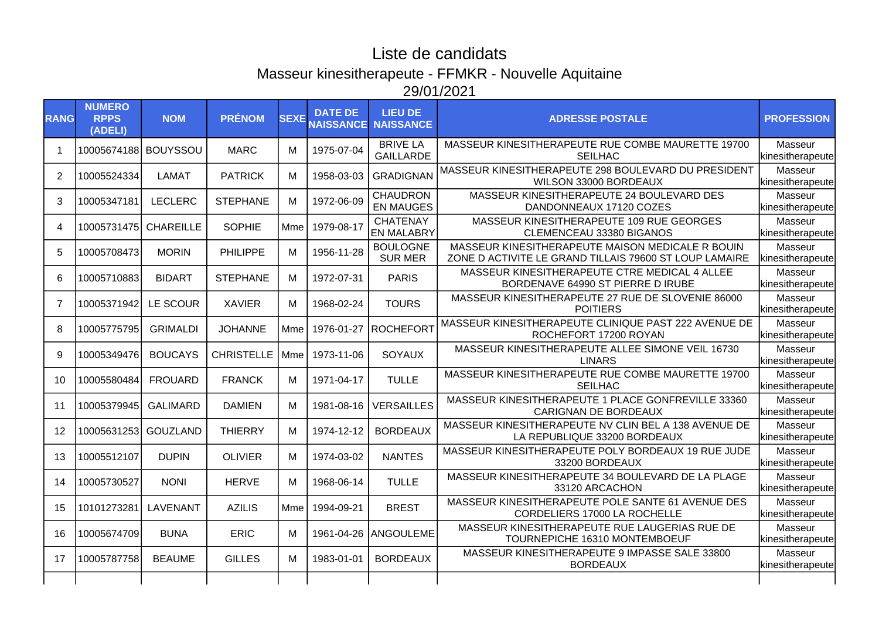## Liste de candidats Masseur kinesitherapeute - FFMKR - Nouvelle Aquitaine 29/01/2021

| <b>RANG</b> | <b>NUMERO</b><br><b>RPPS</b><br>(ADELI) | <b>NOM</b>      | <b>PRÉNOM</b>     | <b>SEXE</b> | <b>DATE DE</b><br><b>NAISSANCE</b> | <b>LIEU DE</b><br><b>NAISSANCE</b>   | <b>ADRESSE POSTALE</b>                                                                                     | <b>PROFESSION</b>           |
|-------------|-----------------------------------------|-----------------|-------------------|-------------|------------------------------------|--------------------------------------|------------------------------------------------------------------------------------------------------------|-----------------------------|
|             | 10005674188 BOUYSSOU                    |                 | <b>MARC</b>       | м           | 1975-07-04                         | <b>BRIVE LA</b><br><b>GAILLARDE</b>  | MASSEUR KINESITHERAPEUTE RUE COMBE MAURETTE 19700<br><b>SEILHAC</b>                                        | Masseur<br>kinesitherapeute |
| 2           | 10005524334                             | <b>LAMAT</b>    | <b>PATRICK</b>    | м           | 1958-03-03                         | <b>GRADIGNAN</b>                     | MASSEUR KINESITHERAPEUTE 298 BOULEVARD DU PRESIDENT<br>WILSON 33000 BORDEAUX                               | Masseur<br>kinesitherapeute |
| 3           | 10005347181                             | <b>LECLERC</b>  | <b>STEPHANE</b>   | м           | 1972-06-09                         | <b>CHAUDRON</b><br><b>EN MAUGES</b>  | MASSEUR KINESITHERAPEUTE 24 BOULEVARD DES<br>DANDONNEAUX 17120 COZES                                       | Masseur<br>kinesitherapeute |
| 4           | 10005731475 CHAREILLE                   |                 | <b>SOPHIE</b>     | Mme         | 1979-08-17                         | <b>CHATENAY</b><br><b>EN MALABRY</b> | MASSEUR KINESITHERAPEUTE 109 RUE GEORGES<br>CLEMENCEAU 33380 BIGANOS                                       | Masseur<br>kinesitherapeute |
| 5           | 10005708473                             | <b>MORIN</b>    | <b>PHILIPPE</b>   | м           | 1956-11-28                         | <b>BOULOGNE</b><br><b>SUR MER</b>    | MASSEUR KINESITHERAPEUTE MAISON MEDICALE R BOUIN<br>ZONE D ACTIVITE LE GRAND TILLAIS 79600 ST LOUP LAMAIRE | Masseur<br>kinesitherapeute |
| 6           | 10005710883                             | <b>BIDART</b>   | <b>STEPHANE</b>   | м           | 1972-07-31                         | <b>PARIS</b>                         | MASSEUR KINESITHERAPEUTE CTRE MEDICAL 4 ALLEE<br>BORDENAVE 64990 ST PIERRE D IRUBE                         | Masseur<br>kinesitherapeute |
| 7           | 10005371942                             | LE SCOUR        | <b>XAVIER</b>     | м           | 1968-02-24                         | <b>TOURS</b>                         | MASSEUR KINESITHERAPEUTE 27 RUE DE SLOVENIE 86000<br><b>POITIERS</b>                                       | Masseur<br>kinesitherapeute |
| 8           | 10005775795                             | <b>GRIMALDI</b> | <b>JOHANNE</b>    | Mme         |                                    | 1976-01-27 ROCHEFORT                 | MASSEUR KINESITHERAPEUTE CLINIQUE PAST 222 AVENUE DE<br>ROCHEFORT 17200 ROYAN                              | Masseur<br>kinesitherapeute |
| 9           | 10005349476                             | <b>BOUCAYS</b>  | <b>CHRISTELLE</b> | Mme         | 1973-11-06                         | SOYAUX                               | MASSEUR KINESITHERAPEUTE ALLEE SIMONE VEIL 16730<br><b>LINARS</b>                                          | Masseur<br>kinesitherapeute |
| 10          | 10005580484                             | <b>FROUARD</b>  | <b>FRANCK</b>     | м           | 1971-04-17                         | <b>TULLE</b>                         | MASSEUR KINESITHERAPEUTE RUE COMBE MAURETTE 19700<br><b>SEILHAC</b>                                        | Masseur<br>kinesitherapeute |
| 11          | 10005379945                             | <b>GALIMARD</b> | <b>DAMIEN</b>     | м           | 1981-08-16                         | <b>VERSAILLES</b>                    | MASSEUR KINESITHERAPEUTE 1 PLACE GONFREVILLE 33360<br><b>CARIGNAN DE BORDEAUX</b>                          | Masseur<br>kinesitherapeute |
| 12          | 10005631253 GOUZLAND                    |                 | <b>THIERRY</b>    | м           | 1974-12-12                         | <b>BORDEAUX</b>                      | MASSEUR KINESITHERAPEUTE NV CLIN BEL A 138 AVENUE DE<br>LA REPUBLIQUE 33200 BORDEAUX                       | Masseur<br>kinesitherapeute |
| 13          | 10005512107                             | <b>DUPIN</b>    | <b>OLIVIER</b>    | м           | 1974-03-02                         | <b>NANTES</b>                        | MASSEUR KINESITHERAPEUTE POLY BORDEAUX 19 RUE JUDE<br>33200 BORDEAUX                                       | Masseur<br>kinesitherapeute |
| 14          | 10005730527                             | <b>NONI</b>     | <b>HERVE</b>      | м           | 1968-06-14                         | <b>TULLE</b>                         | MASSEUR KINESITHERAPEUTE 34 BOULEVARD DE LA PLAGE<br>33120 ARCACHON                                        | Masseur<br>kinesitherapeute |
| 15          | 10101273281                             | LAVENANT        | <b>AZILIS</b>     | Mme         | 1994-09-21                         | <b>BREST</b>                         | MASSEUR KINESITHERAPEUTE POLE SANTE 61 AVENUE DES<br>CORDELIERS 17000 LA ROCHELLE                          | Masseur<br>kinesitherapeute |
| 16          | 10005674709                             | <b>BUNA</b>     | <b>ERIC</b>       | м           |                                    | 1961-04-26 ANGOULEME                 | MASSEUR KINESITHERAPEUTE RUE LAUGERIAS RUE DE<br>TOURNEPICHE 16310 MONTEMBOEUF                             | Masseur<br>kinesitherapeute |
| 17          | 10005787758                             | <b>BEAUME</b>   | <b>GILLES</b>     | м           | 1983-01-01                         | <b>BORDEAUX</b>                      | MASSEUR KINESITHERAPEUTE 9 IMPASSE SALE 33800<br><b>BORDEAUX</b>                                           | Masseur<br>kinesitherapeute |
|             |                                         |                 |                   |             |                                    |                                      |                                                                                                            |                             |